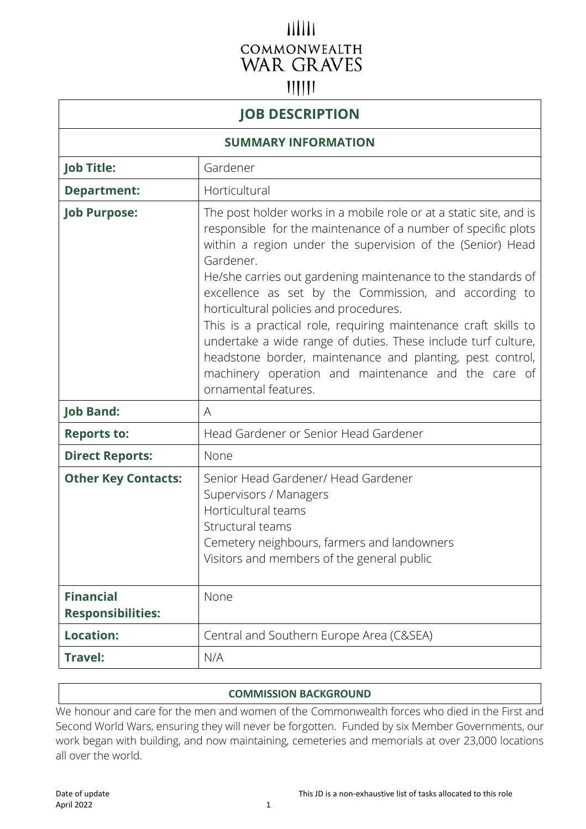# $11111$ COMMONWEALTH **WAR GRAVES**  $||||||$

# **JOB DESCRIPTION**

### **SUMMARY INFORMATION**

| <b>Job Title:</b>                            | Gardener                                                                                                                                                                                                                                                                                                                                                                                                                                                                                                                                                                                                                                                          |
|----------------------------------------------|-------------------------------------------------------------------------------------------------------------------------------------------------------------------------------------------------------------------------------------------------------------------------------------------------------------------------------------------------------------------------------------------------------------------------------------------------------------------------------------------------------------------------------------------------------------------------------------------------------------------------------------------------------------------|
| <b>Department:</b>                           | Horticultural                                                                                                                                                                                                                                                                                                                                                                                                                                                                                                                                                                                                                                                     |
| <b>Job Purpose:</b>                          | The post holder works in a mobile role or at a static site, and is<br>responsible for the maintenance of a number of specific plots<br>within a region under the supervision of the (Senior) Head<br>Gardener.<br>He/she carries out gardening maintenance to the standards of<br>excellence as set by the Commission, and according to<br>horticultural policies and procedures.<br>This is a practical role, requiring maintenance craft skills to<br>undertake a wide range of duties. These include turf culture,<br>headstone border, maintenance and planting, pest control,<br>machinery operation and maintenance and the care of<br>ornamental features. |
| <b>Job Band:</b>                             | A                                                                                                                                                                                                                                                                                                                                                                                                                                                                                                                                                                                                                                                                 |
| <b>Reports to:</b>                           | Head Gardener or Senior Head Gardener                                                                                                                                                                                                                                                                                                                                                                                                                                                                                                                                                                                                                             |
| <b>Direct Reports:</b>                       | None                                                                                                                                                                                                                                                                                                                                                                                                                                                                                                                                                                                                                                                              |
| <b>Other Key Contacts:</b>                   | Senior Head Gardener/ Head Gardener<br>Supervisors / Managers<br>Horticultural teams<br>Structural teams<br>Cemetery neighbours, farmers and landowners<br>Visitors and members of the general public                                                                                                                                                                                                                                                                                                                                                                                                                                                             |
| <b>Financial</b><br><b>Responsibilities:</b> | None                                                                                                                                                                                                                                                                                                                                                                                                                                                                                                                                                                                                                                                              |
| <b>Location:</b>                             | Central and Southern Europe Area (C&SEA)                                                                                                                                                                                                                                                                                                                                                                                                                                                                                                                                                                                                                          |
| <b>Travel:</b>                               | N/A                                                                                                                                                                                                                                                                                                                                                                                                                                                                                                                                                                                                                                                               |

#### **COMMISSION BACKGROUND**

We honour and care for the men and women of the Commonwealth forces who died in the First and Second World Wars, ensuring they will never be forgotten. Funded by six Member Governments, our work began with building, and now maintaining, cemeteries and memorials at over 23,000 locations all over the world.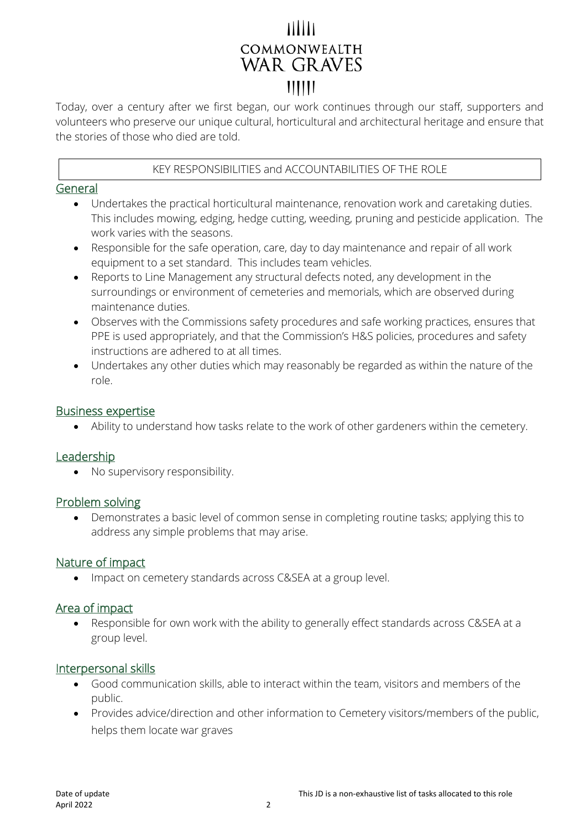# THIT COMMONWEALTH **WAR GRAVES**  $111111$

Today, over a century after we first began, our work continues through our staff, supporters and volunteers who preserve our unique cultural, horticultural and architectural heritage and ensure that the stories of those who died are told.

# KEY RESPONSIBILITIES and ACCOUNTABILITIES OF THE ROLE

#### General

- Undertakes the practical horticultural maintenance, renovation work and caretaking duties. This includes mowing, edging, hedge cutting, weeding, pruning and pesticide application. The work varies with the seasons.
- Responsible for the safe operation, care, day to day maintenance and repair of all work equipment to a set standard. This includes team vehicles.
- Reports to Line Management any structural defects noted, any development in the surroundings or environment of cemeteries and memorials, which are observed during maintenance duties.
- Observes with the Commissions safety procedures and safe working practices, ensures that PPE is used appropriately, and that the Commission's H&S policies, procedures and safety instructions are adhered to at all times.
- Undertakes any other duties which may reasonably be regarded as within the nature of the role.

#### Business expertise

• Ability to understand how tasks relate to the work of other gardeners within the cemetery.

# **Leadership**

• No supervisory responsibility.

#### Problem solving

• Demonstrates a basic level of common sense in completing routine tasks; applying this to address any simple problems that may arise.

#### Nature of impact

• Impact on cemetery standards across C&SEA at a group level.

# Area of impact

• Responsible for own work with the ability to generally effect standards across C&SEA at a group level.

#### Interpersonal skills

- Good communication skills, able to interact within the team, visitors and members of the public.
- Provides advice/direction and other information to Cemetery visitors/members of the public, helps them locate war graves